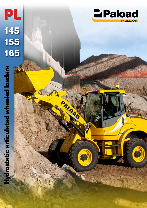**Hydrostatic articulated wheeled loaders** Hydrostatic articulated wheeled loaders

145

PL

155

165

 $\mathbf{T}$ 

PALDAD

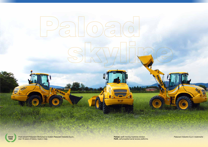*From ancient Palazzani Workshop to modern Palazzani Industrie S.p.A., over 70 years of history, made in Italy.* **since** *P<sub>alazzani Industrie S.p.A. trademarks* **Palone** *Palazzani Industrie S.p.A.*, **Palone** *Palazzani Industrie S.p.A. trademarks* **<b>Palone** *Palazzani Industrie S.p.A. trademarks* **Palone** *Palazzani Industrie S.p.A. t***</sub>** 

AIDAD

**Paload,** earth moving machines division. **Palift,** self-propelled aerial access platforms.

 $.6<sub>0</sub>$ 

**The F** 

 $\bullet$ .



**1935**

**SSON** 

G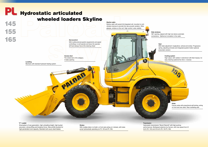**Side windows**

ъ

hy Palazzan

180° opening, aligned with high resi stance automatic connections. Optimal air circulation in the cabin

### **Skyline cabin**

Skyline cabin with paved full-integrated cell, mounted on antivibration devices to provide first rate acoustic isolation. Wide glasses, window on the roof. High comfort, wide visibility

**Servocontrol**

With multifunctional joystick (equipments and speed controlling), to well operate and leave the operator left hand always free at the steering wheel

#### **"Z" Loader**

تحدد

High output, with radiator in alluminium with tiled masses, for easy cleaning (optional fan drive + reverse)

Kinematism of new generation, high unloading height, high bucket excursion, strong lifting and breakout force. New profile buckets for high penetration and capacity. Standard anti-usury steel blades

**Access door** The widest door of its category. 2 sides opening

onight

# PL Hydrostatic articulated wheeled loaders Skyline145

**Levelling** Mechanic with standard hydraulic floating system

## **Trasmission**

Hydrostatic transmission "Bosch Rexroth" with high pushing performances. Multispeed selection by Carraro, with max speed from 31 km/h (PL 145) and 40 km/h (PL 155 PL 165)

#### **Brakes**

With multiple disks in oil bath, on front axle acting on 4 wheels, with brake pump hydraulically operating (on PL 155 and PL 165)

#### **Cooling system**

#### **Seat**

With triple adjustment: longitudinal, vertical and lumbar. Progressive spring, adjusting armrests and integrated joystick holder (optional pneumatic version)

**Axles**

Carraro axles with proportional self-locking, acting on front and rear axles. Rear oscillating axle

155

165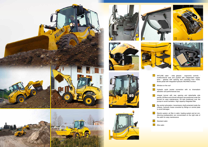1 SKYLINE cabin - wide glasses - ergonomic controls multifunctional seat and joystick with independent regulations - glasses with opening and unlocking from inside. Brake pedal with integrated hydraulic INCHING function

Window on the roof

Hydaulic quick bucket connection with no kinematism alteration and performances loss

6 **Electric system, air filter in cabin, heating system and air con**ditioning predisposition are concentrated on the right side of the cabin for easy maintenance

Integral bonnet with rear opening and detachable side panels. All filters and oil level indicators are positioned under the bonnet for easy maintenance. Oil tank positioned over the pumps to avoid cavitation. High capacity integrated filter

Big central articulation, transmission shaft protected inside the chassis, hydraulic hoses conected by fittings on central plate to avoid damages

Standard cabin

Elite cabin



![](_page_3_Picture_1.jpeg)

![](_page_3_Picture_7.jpeg)

![](_page_3_Picture_8.jpeg)

![](_page_3_Picture_9.jpeg)

![](_page_3_Picture_2.jpeg)

![](_page_3_Picture_3.jpeg)

![](_page_3_Picture_4.jpeg)

![](_page_3_Picture_5.jpeg)

![](_page_3_Picture_6.jpeg)